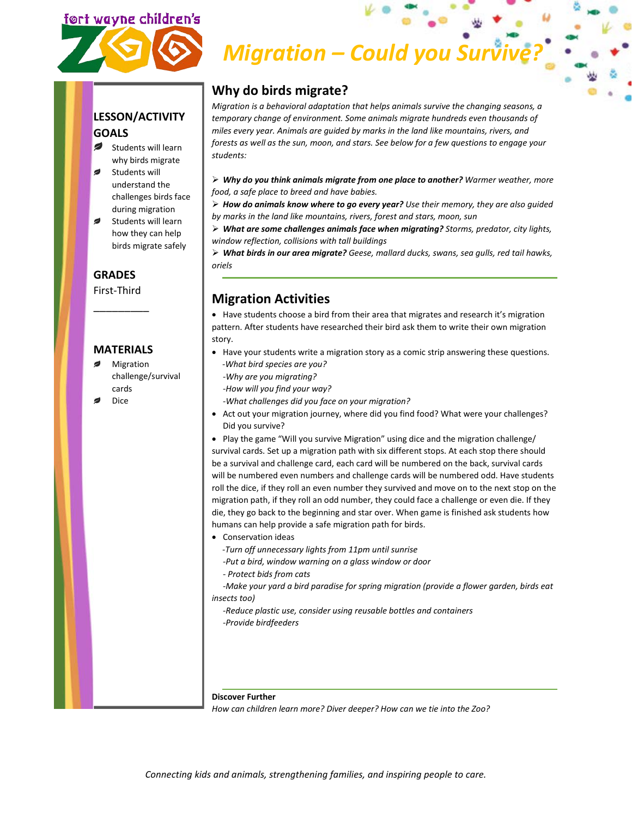# ort wayne children's

# *Migration – Could you Survive*

#### **LESSON/ACTIVITY GOALS**

- $\overline{\phantom{a}}$ Students will learn why birds migrate
- Students will understand the challenges birds face during migration
- ø Students will learn how they can help birds migrate safely

#### **GRADES**

First-Third \_\_\_\_\_\_\_\_\_

#### **MATERIALS**

- ø Migration challenge/survival cards
- Dice

## **Why do birds migrate?**

*Migration is a behavioral adaptation that helps animals survive the changing seasons, a temporary change of environment. Some animals migrate hundreds even thousands of miles every year. Animals are guided by marks in the land like mountains, rivers, and forests as well as the sun, moon, and stars. See below for a few questions to engage your students:*

 *Why do you think animals migrate from one place to another? Warmer weather, more food, a safe place to breed and have babies.*

 *How do animals know where to go every year? Use their memory, they are also guided by marks in the land like mountains, rivers, forest and stars, moon, sun*

 *What are some challenges animals face when migrating? Storms, predator, city lights, window reflection, collisions with tall buildings*

 *What birds in our area migrate? Geese, mallard ducks, swans, sea gulls, red tail hawks, oriels*

### **Migration Activities**

• Have students choose a bird from their area that migrates and research it's migration pattern. After students have researched their bird ask them to write their own migration story.

- Have your students write a migration story as a comic strip answering these questions.  *-What bird species are you?*
- *-Why are you migrating?*
- *-How will you find your way?*
- *-What challenges did you face on your migration?*
- Act out your migration journey, where did you find food? What were your challenges? Did you survive?

• Play the game "Will you survive Migration" using dice and the migration challenge/ survival cards. Set up a migration path with six different stops. At each stop there should be a survival and challenge card, each card will be numbered on the back, survival cards will be numbered even numbers and challenge cards will be numbered odd. Have students roll the dice, if they roll an even number they survived and move on to the next stop on the migration path, if they roll an odd number, they could face a challenge or even die. If they die, they go back to the beginning and star over. When game is finished ask students how humans can help provide a safe migration path for birds.

- Conservation ideas
	- *-Turn off unnecessary lights from 11pm until sunrise*
	- *-Put a bird, window warning on a glass window or door*
	- *- Protect bids from cats*

*-Make your yard a bird paradise for spring migration (provide a flower garden, birds eat insects too)*

*-Reduce plastic use, consider using reusable bottles and containers -Provide birdfeeders*

#### **Discover Further**

*How can children learn more? Diver deeper? How can we tie into the Zoo?*